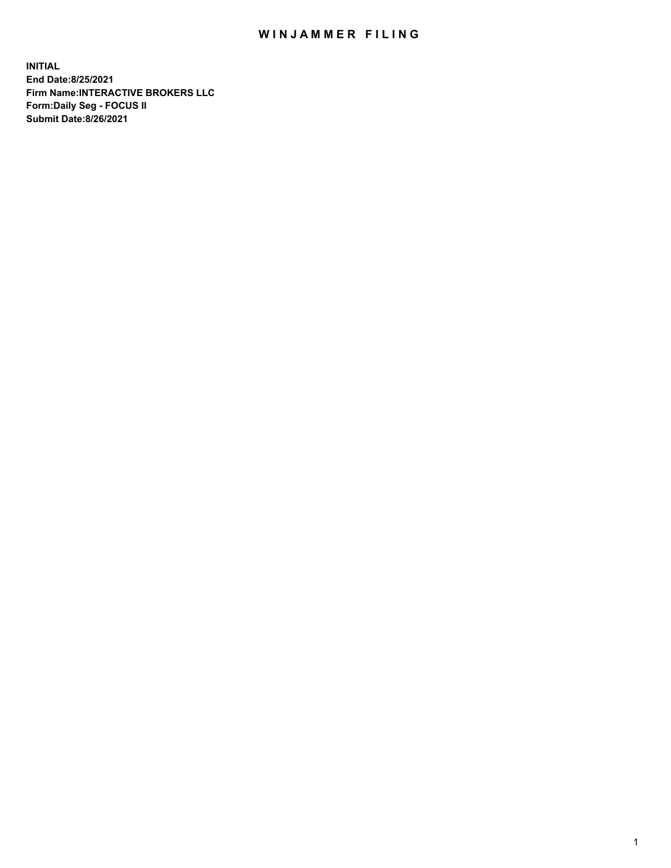## WIN JAMMER FILING

**INITIAL End Date:8/25/2021 Firm Name:INTERACTIVE BROKERS LLC Form:Daily Seg - FOCUS II Submit Date:8/26/2021**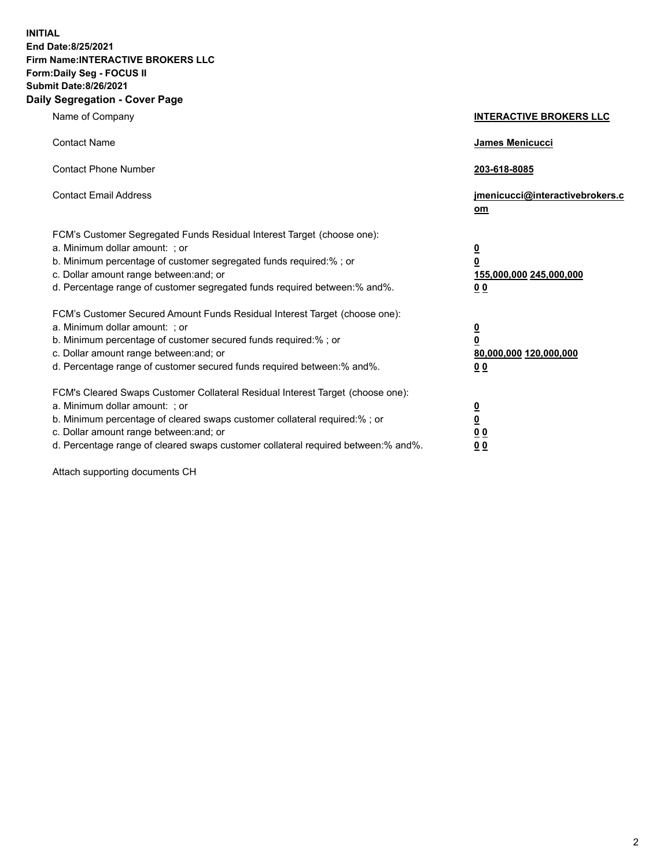**INITIAL End Date:8/25/2021 Firm Name:INTERACTIVE BROKERS LLC Form:Daily Seg - FOCUS II Submit Date:8/26/2021 Daily Segregation - Cover Page**

| Name of Company                                                                                                                                                                                                                                                                                                                | <b>INTERACTIVE BROKERS LLC</b>                                           |  |
|--------------------------------------------------------------------------------------------------------------------------------------------------------------------------------------------------------------------------------------------------------------------------------------------------------------------------------|--------------------------------------------------------------------------|--|
| <b>Contact Name</b>                                                                                                                                                                                                                                                                                                            | James Menicucci                                                          |  |
| <b>Contact Phone Number</b>                                                                                                                                                                                                                                                                                                    | 203-618-8085                                                             |  |
| <b>Contact Email Address</b>                                                                                                                                                                                                                                                                                                   | jmenicucci@interactivebrokers.c<br>om                                    |  |
| FCM's Customer Segregated Funds Residual Interest Target (choose one):<br>a. Minimum dollar amount: ; or<br>b. Minimum percentage of customer segregated funds required:% ; or<br>c. Dollar amount range between: and; or<br>d. Percentage range of customer segregated funds required between: % and %.                       | <u>0</u><br>0<br>155,000,000 245,000,000<br>0 <sub>0</sub>               |  |
| FCM's Customer Secured Amount Funds Residual Interest Target (choose one):<br>a. Minimum dollar amount: ; or<br>b. Minimum percentage of customer secured funds required:% ; or<br>c. Dollar amount range between: and; or<br>d. Percentage range of customer secured funds required between:% and%.                           | <u>0</u><br>$\overline{\mathbf{0}}$<br>80,000,000 120,000,000<br>00      |  |
| FCM's Cleared Swaps Customer Collateral Residual Interest Target (choose one):<br>a. Minimum dollar amount: ; or<br>b. Minimum percentage of cleared swaps customer collateral required:% ; or<br>c. Dollar amount range between: and; or<br>d. Percentage range of cleared swaps customer collateral required between:% and%. | <u>0</u><br>$\underline{\mathbf{0}}$<br>0 <sub>0</sub><br>0 <sub>0</sub> |  |

Attach supporting documents CH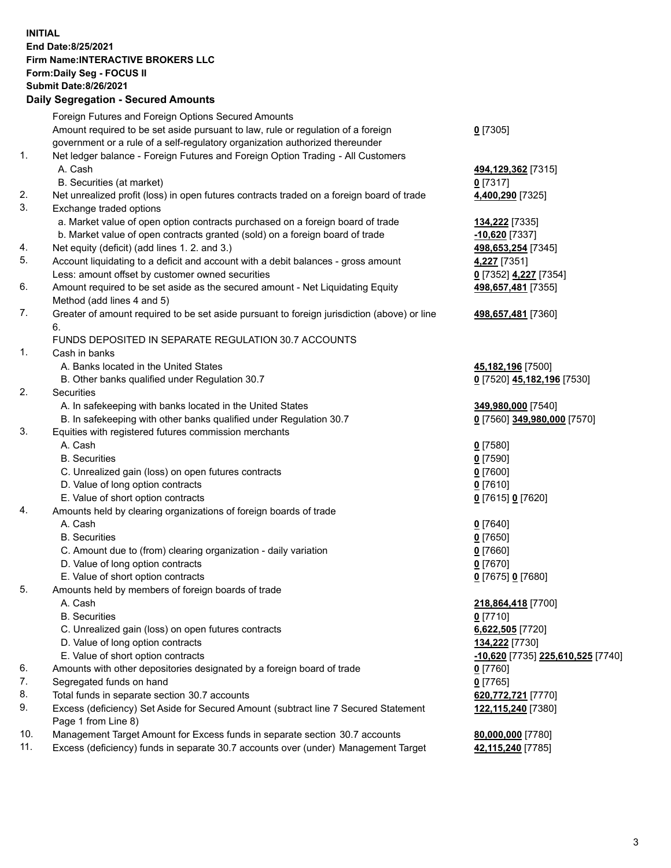**INITIAL End Date:8/25/2021 Firm Name:INTERACTIVE BROKERS LLC Form:Daily Seg - FOCUS II Submit Date:8/26/2021 Daily Segregation - Secured Amounts**

## Foreign Futures and Foreign Options Secured Amounts Amount required to be set aside pursuant to law, rule or regulation of a foreign government or a rule of a self-regulatory organization authorized thereunder **0** [7305] 1. Net ledger balance - Foreign Futures and Foreign Option Trading - All Customers A. Cash **494,129,362** [7315] B. Securities (at market) **0** [7317] 2. Net unrealized profit (loss) in open futures contracts traded on a foreign board of trade **4,400,290** [7325] 3. Exchange traded options a. Market value of open option contracts purchased on a foreign board of trade **134,222** [7335] b. Market value of open contracts granted (sold) on a foreign board of trade **-10,620** [7337] 4. Net equity (deficit) (add lines 1. 2. and 3.) **498,653,254** [7345] 5. Account liquidating to a deficit and account with a debit balances - gross amount **4,227** [7351] Less: amount offset by customer owned securities **0** [7352] **4,227** [7354] 6. Amount required to be set aside as the secured amount - Net Liquidating Equity Method (add lines 4 and 5) **498,657,481** [7355] 7. Greater of amount required to be set aside pursuant to foreign jurisdiction (above) or line 6. **498,657,481** [7360] FUNDS DEPOSITED IN SEPARATE REGULATION 30.7 ACCOUNTS 1. Cash in banks A. Banks located in the United States **45,182,196** [7500] B. Other banks qualified under Regulation 30.7 **0** [7520] **45,182,196** [7530] 2. Securities A. In safekeeping with banks located in the United States **349,980,000** [7540] B. In safekeeping with other banks qualified under Regulation 30.7 **0** [7560] **349,980,000** [7570] 3. Equities with registered futures commission merchants A. Cash **0** [7580] B. Securities **0** [7590] C. Unrealized gain (loss) on open futures contracts **0** [7600] D. Value of long option contracts **0** [7610] E. Value of short option contracts **0** [7615] **0** [7620] 4. Amounts held by clearing organizations of foreign boards of trade A. Cash **0** [7640] B. Securities **0** [7650] C. Amount due to (from) clearing organization - daily variation **0** [7660] D. Value of long option contracts **0** [7670] E. Value of short option contracts **0** [7675] **0** [7680] 5. Amounts held by members of foreign boards of trade A. Cash **218,864,418** [7700] B. Securities **0** [7710] C. Unrealized gain (loss) on open futures contracts **6,622,505** [7720] D. Value of long option contracts **134,222** [7730] E. Value of short option contracts **-10,620** [7735] **225,610,525** [7740] 6. Amounts with other depositories designated by a foreign board of trade **0** [7760] 7. Segregated funds on hand **0** [7765] 8. Total funds in separate section 30.7 accounts **620,772,721** [7770] 9. Excess (deficiency) Set Aside for Secured Amount (subtract line 7 Secured Statement Page 1 from Line 8) **122,115,240** [7380] 10. Management Target Amount for Excess funds in separate section 30.7 accounts **80,000,000** [7780] 11. Excess (deficiency) funds in separate 30.7 accounts over (under) Management Target **42,115,240** [7785]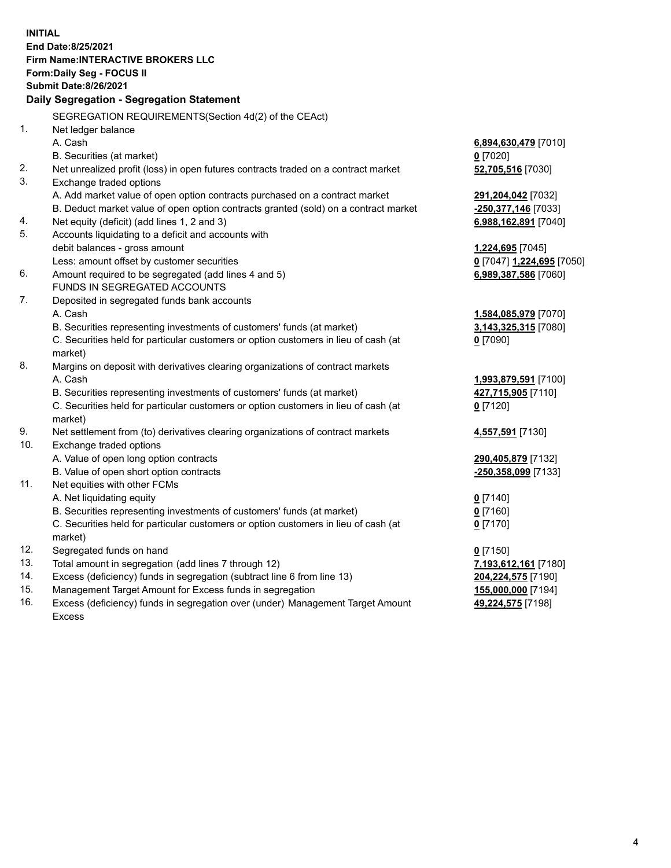**INITIAL End Date:8/25/2021 Firm Name:INTERACTIVE BROKERS LLC Form:Daily Seg - FOCUS II Submit Date:8/26/2021 Daily Segregation - Segregation Statement** SEGREGATION REQUIREMENTS(Section 4d(2) of the CEAct) 1. Net ledger balance A. Cash **6,894,630,479** [7010] B. Securities (at market) **0** [7020] 2. Net unrealized profit (loss) in open futures contracts traded on a contract market **52,705,516** [7030] 3. Exchange traded options A. Add market value of open option contracts purchased on a contract market **291,204,042** [7032] B. Deduct market value of open option contracts granted (sold) on a contract market **-250,377,146** [7033] 4. Net equity (deficit) (add lines 1, 2 and 3) **6,988,162,891** [7040] 5. Accounts liquidating to a deficit and accounts with debit balances - gross amount **1,224,695** [7045] Less: amount offset by customer securities **0** [7047] **1,224,695** [7050] 6. Amount required to be segregated (add lines 4 and 5) **6,989,387,586** [7060] FUNDS IN SEGREGATED ACCOUNTS 7. Deposited in segregated funds bank accounts A. Cash **1,584,085,979** [7070] B. Securities representing investments of customers' funds (at market) **3,143,325,315** [7080] C. Securities held for particular customers or option customers in lieu of cash (at market) **0** [7090] 8. Margins on deposit with derivatives clearing organizations of contract markets A. Cash **1,993,879,591** [7100] B. Securities representing investments of customers' funds (at market) **427,715,905** [7110] C. Securities held for particular customers or option customers in lieu of cash (at market) **0** [7120] 9. Net settlement from (to) derivatives clearing organizations of contract markets **4,557,591** [7130] 10. Exchange traded options A. Value of open long option contracts **290,405,879** [7132] B. Value of open short option contracts **-250,358,099** [7133] 11. Net equities with other FCMs A. Net liquidating equity **0** [7140] B. Securities representing investments of customers' funds (at market) **0** [7160] C. Securities held for particular customers or option customers in lieu of cash (at market) **0** [7170] 12. Segregated funds on hand **0** [7150] 13. Total amount in segregation (add lines 7 through 12) **7,193,612,161** [7180] 14. Excess (deficiency) funds in segregation (subtract line 6 from line 13) **204,224,575** [7190] 15. Management Target Amount for Excess funds in segregation **155,000,000** [7194]

16. Excess (deficiency) funds in segregation over (under) Management Target Amount Excess

**49,224,575** [7198]